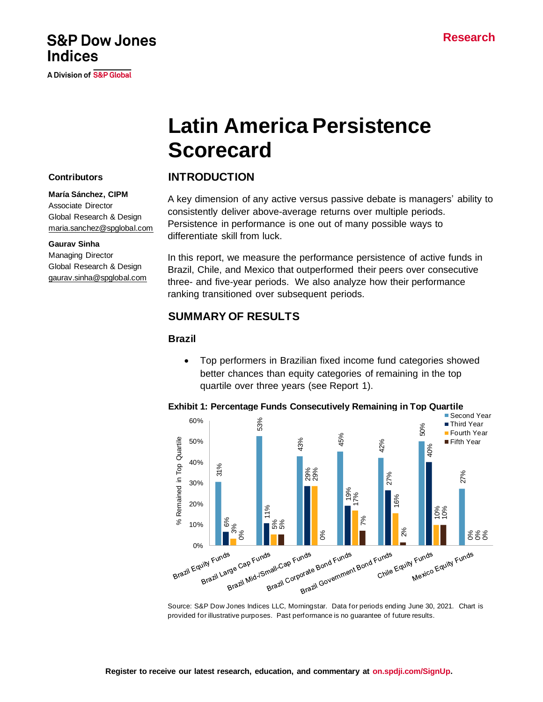# A Division of S&P Global

# **Latin America Persistence Scorecard**

#### **Contributors**

**Indices** 

#### **María Sánchez, CIPM**

Associate Director Global Research & Design [maria.sanchez@spglobal.com](mailto:maria.sanchez@spglobal.com)

**S&P Dow Jones** 

#### **Gaurav Sinha**

Managing Director Global Research & Design [gaurav.sinha@spglobal.com](mailto:gaurav.sinha@spglobal.com)

#### **INTRODUCTION**

A key dimension of any active versus passive debate is managers' ability to consistently deliver above-average returns over multiple periods. Persistence in performance is one out of many possible ways to differentiate skill from luck.

In this report, we measure the performance persistence of active funds in Brazil, Chile, and Mexico that outperformed their peers over consecutive three- and five-year periods. We also analyze how their performance ranking transitioned over subsequent periods.

#### **SUMMARY OF RESULTS**

#### **Brazil**

• Top performers in Brazilian fixed income fund categories showed better chances than equity categories of remaining in the top quartile over three years (see Report 1).



#### **Exhibit 1: Percentage Funds Consecutively Remaining in Top Quartile**

Source: S&P Dow Jones Indices LLC, Morningstar. Data for periods ending June 30, 2021. Chart is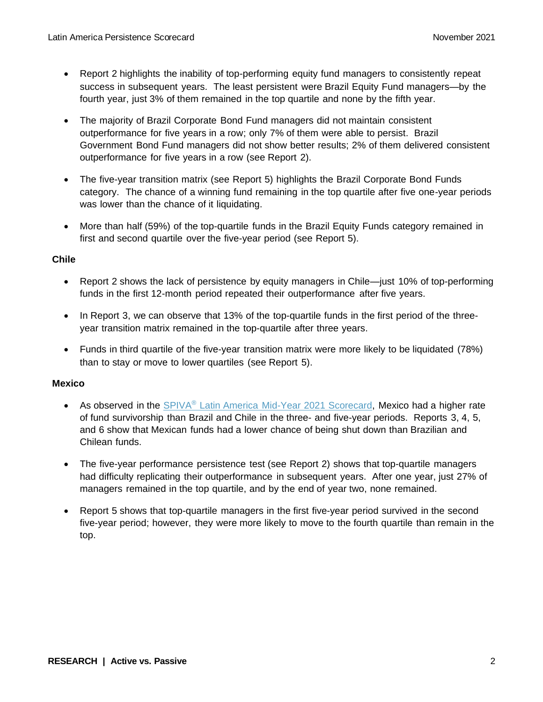- Report 2 highlights the inability of top-performing equity fund managers to consistently repeat success in subsequent years. The least persistent were Brazil Equity Fund managers—by the fourth year, just 3% of them remained in the top quartile and none by the fifth year.
- The majority of Brazil Corporate Bond Fund managers did not maintain consistent outperformance for five years in a row; only 7% of them were able to persist. Brazil Government Bond Fund managers did not show better results; 2% of them delivered consistent outperformance for five years in a row (see Report 2).
- The five-year transition matrix (see Report 5) highlights the Brazil Corporate Bond Funds category. The chance of a winning fund remaining in the top quartile after five one-year periods was lower than the chance of it liquidating.
- More than half (59%) of the top-quartile funds in the Brazil Equity Funds category remained in first and second quartile over the five-year period (see Report 5).

#### **Chile**

- Report 2 shows the lack of persistence by equity managers in Chile—just 10% of top-performing funds in the first 12-month period repeated their outperformance after five years.
- In Report 3, we can observe that 13% of the top-quartile funds in the first period of the threeyear transition matrix remained in the top-quartile after three years.
- Funds in third quartile of the five-year transition matrix were more likely to be liquidated (78%) than to stay or move to lower quartiles (see Report 5).

#### **Mexico**

- As observed in the SPIVA<sup>®</sup> [Latin America Mid-Year 2021 Scorecard,](https://www.spglobal.com/spdji/en/documents/spiva/spiva-latin-america-mid-year-2021.pdf?utm_source=pdf_spiva) Mexico had a higher rate of fund survivorship than Brazil and Chile in the three- and five-year periods. Reports 3, 4, 5, and 6 show that Mexican funds had a lower chance of being shut down than Brazilian and Chilean funds.
- The five-year performance persistence test (see Report 2) shows that top-quartile managers had difficulty replicating their outperformance in subsequent years. After one year, just 27% of managers remained in the top quartile, and by the end of year two, none remained.
- Report 5 shows that top-quartile managers in the first five-year period survived in the second five-year period; however, they were more likely to move to the fourth quartile than remain in the top.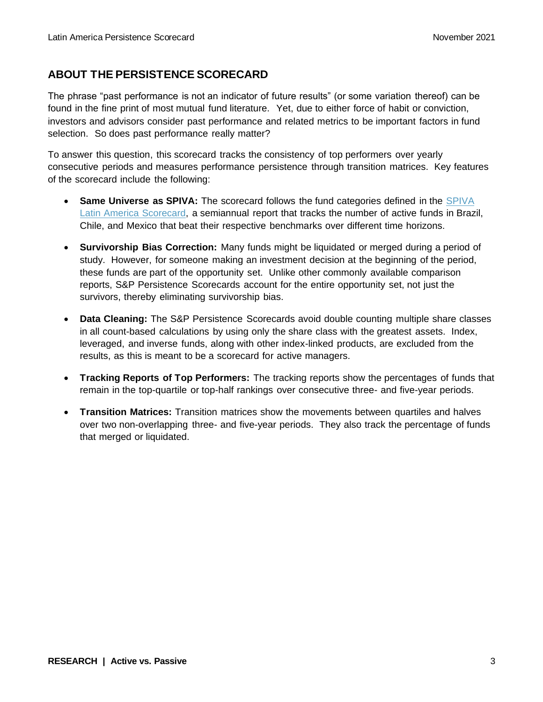### **ABOUT THE PERSISTENCE SCORECARD**

The phrase "past performance is not an indicator of future results" (or some variation thereof) can be found in the fine print of most mutual fund literature. Yet, due to either force of habit or conviction, investors and advisors consider past performance and related metrics to be important factors in fund selection. So does past performance really matter?

To answer this question, this scorecard tracks the consistency of top performers over yearly consecutive periods and measures performance persistence through transition matrices. Key features of the scorecard include the following:

- Same Universe as SPIVA: The scorecard follows the fund categories defined in the SPIVA [Latin America Scorecard,](https://www.spglobal.com/spdji/en/spiva/article/spiva-latin-america?utm_source=pdf_spiva) a semiannual report that tracks the number of active funds in Brazil, Chile, and Mexico that beat their respective benchmarks over different time horizons.
- **Survivorship Bias Correction:** Many funds might be liquidated or merged during a period of study. However, for someone making an investment decision at the beginning of the period, these funds are part of the opportunity set. Unlike other commonly available comparison reports, S&P Persistence Scorecards account for the entire opportunity set, not just the survivors, thereby eliminating survivorship bias.
- **Data Cleaning:** The S&P Persistence Scorecards avoid double counting multiple share classes in all count-based calculations by using only the share class with the greatest assets. Index, leveraged, and inverse funds, along with other index-linked products, are excluded from the results, as this is meant to be a scorecard for active managers.
- **Tracking Reports of Top Performers:** The tracking reports show the percentages of funds that remain in the top-quartile or top-half rankings over consecutive three- and five-year periods.
- **Transition Matrices:** Transition matrices show the movements between quartiles and halves over two non-overlapping three- and five-year periods. They also track the percentage of funds that merged or liquidated.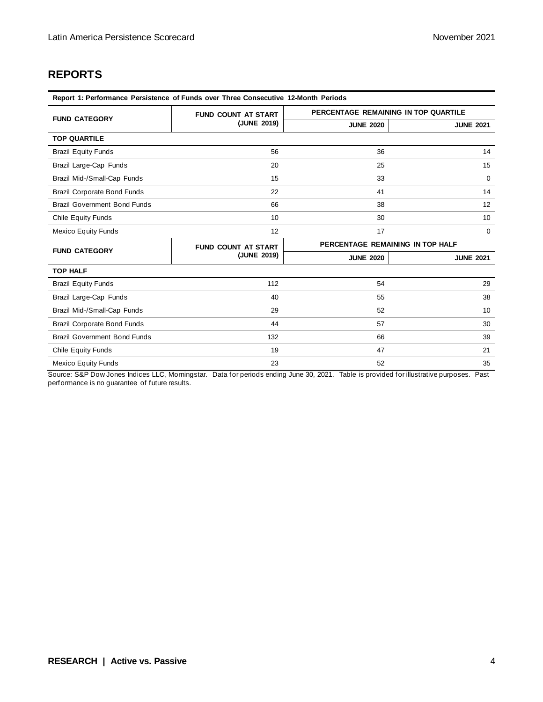## **REPORTS**

| Report 1: Performance Persistence of Funds over Three Consecutive 12-Month Periods |                            |                                      |                  |  |  |  |  |
|------------------------------------------------------------------------------------|----------------------------|--------------------------------------|------------------|--|--|--|--|
|                                                                                    | <b>FUND COUNT AT START</b> | PERCENTAGE REMAINING IN TOP QUARTILE |                  |  |  |  |  |
| <b>FUND CATEGORY</b>                                                               | (JUNE 2019)                | <b>JUNE 2020</b>                     | <b>JUNE 2021</b> |  |  |  |  |
| <b>TOP QUARTILE</b>                                                                |                            |                                      |                  |  |  |  |  |
| <b>Brazil Equity Funds</b>                                                         | 56                         | 36                                   | 14               |  |  |  |  |
| Brazil Large-Cap Funds                                                             | 20                         | 25                                   | 15               |  |  |  |  |
| Brazil Mid-/Small-Cap Funds                                                        | 15                         | 33                                   | $\Omega$         |  |  |  |  |
| <b>Brazil Corporate Bond Funds</b>                                                 | 22                         |                                      | 14               |  |  |  |  |
| <b>Brazil Government Bond Funds</b><br>66                                          |                            | 38                                   | 12               |  |  |  |  |
| Chile Equity Funds                                                                 | 10                         | 30                                   | 10               |  |  |  |  |
| <b>Mexico Equity Funds</b>                                                         | 12                         | 17                                   | 0                |  |  |  |  |
| <b>FUND CATEGORY</b>                                                               | <b>FUND COUNT AT START</b> | PERCENTAGE REMAINING IN TOP HALF     |                  |  |  |  |  |
|                                                                                    | (JUNE 2019)                | <b>JUNE 2020</b>                     | <b>JUNE 2021</b> |  |  |  |  |
| <b>TOP HALF</b>                                                                    |                            |                                      |                  |  |  |  |  |
| <b>Brazil Equity Funds</b>                                                         | 112                        | 54                                   | 29               |  |  |  |  |
| Brazil Large-Cap Funds                                                             | 40                         | 55                                   | 38               |  |  |  |  |
| Brazil Mid-/Small-Cap Funds                                                        | 29                         | 52                                   | 10               |  |  |  |  |
| <b>Brazil Corporate Bond Funds</b>                                                 | 44                         | 57                                   | 30               |  |  |  |  |
| <b>Brazil Government Bond Funds</b>                                                | 132                        | 66                                   | 39               |  |  |  |  |
| <b>Chile Equity Funds</b>                                                          | 19                         | 47                                   | 21               |  |  |  |  |
| Mexico Equity Funds                                                                | 23                         | 52                                   | 35               |  |  |  |  |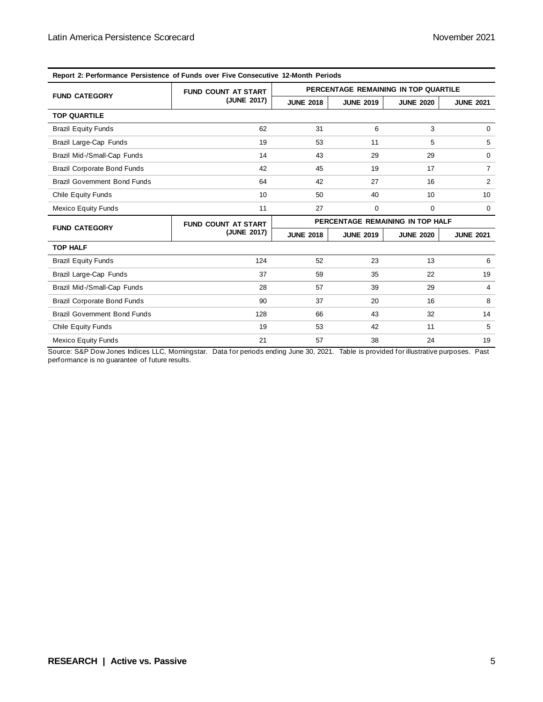| Report Z: Performance Persistence of Punds over Five Consecutive TZ-Month Perfous |                            |                                      |                  |                  |                  |
|-----------------------------------------------------------------------------------|----------------------------|--------------------------------------|------------------|------------------|------------------|
| <b>FUND CATEGORY</b>                                                              | <b>FUND COUNT AT START</b> | PERCENTAGE REMAINING IN TOP QUARTILE |                  |                  |                  |
|                                                                                   | (JUNE 2017)                | <b>JUNE 2018</b>                     | <b>JUNE 2019</b> | <b>JUNE 2020</b> | <b>JUNE 2021</b> |
| <b>TOP QUARTILE</b>                                                               |                            |                                      |                  |                  |                  |
| <b>Brazil Equity Funds</b>                                                        | 62                         | 31                                   | 6                | 3                | $\mathbf 0$      |
| Brazil Large-Cap Funds                                                            | 19                         | 53                                   | 11               | 5                | 5                |
| Brazil Mid-/Small-Cap Funds                                                       | 14                         | 43                                   | 29               | 29               | $\mathbf 0$      |
| <b>Brazil Corporate Bond Funds</b>                                                | 42                         | 45                                   | 19               | 17               | $\overline{7}$   |
| <b>Brazil Government Bond Funds</b>                                               | 64                         | 42                                   | 27               | 16               | 2                |
| <b>Chile Equity Funds</b>                                                         | 10                         | 50                                   | 40               | 10               | 10               |
| <b>Mexico Equity Funds</b>                                                        | 11                         | 27                                   | 0                | $\mathbf 0$      | $\Omega$         |
| <b>FUND CATEGORY</b>                                                              | <b>FUND COUNT AT START</b> | PERCENTAGE REMAINING IN TOP HALF     |                  |                  |                  |
|                                                                                   | (JUNE 2017)                | <b>JUNE 2018</b>                     | <b>JUNE 2019</b> | <b>JUNE 2020</b> | <b>JUNE 2021</b> |
| <b>TOP HALF</b>                                                                   |                            |                                      |                  |                  |                  |
| <b>Brazil Equity Funds</b>                                                        | 124                        | 52                                   | 23               | 13               | 6                |
| Brazil Large-Cap Funds                                                            | 37                         | 59                                   | 35               | 22               | 19               |
| Brazil Mid-/Small-Cap Funds                                                       | 28                         | 57                                   | 39               | 29               | 4                |
| <b>Brazil Corporate Bond Funds</b>                                                | 90                         | 37                                   | 20               | 16               | 8                |
| <b>Brazil Government Bond Funds</b>                                               | 128                        | 66                                   | 43               | 32               | 14               |
| <b>Chile Equity Funds</b>                                                         | 19                         | 53                                   | 42               | 11               | 5                |
| <b>Mexico Equity Funds</b>                                                        | 21                         | 57                                   | 38               | 24               | 19               |

**Report 2: Performance Persistence of Funds over Five Consecutive 12-Month Periods**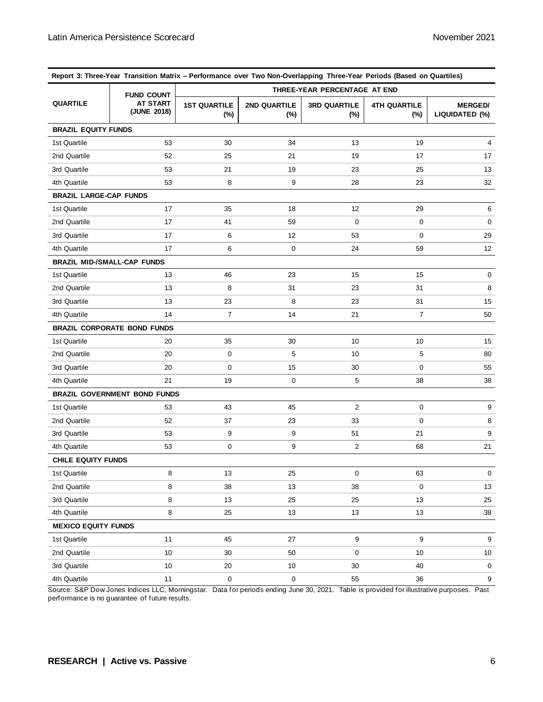| Report 3: Three-Year Transition Matrix - Performance over Two Non-Overlapping Three-Year Periods (Based on Quartiles) |                                     |                               |                        |                            |                               |                                  |  |
|-----------------------------------------------------------------------------------------------------------------------|-------------------------------------|-------------------------------|------------------------|----------------------------|-------------------------------|----------------------------------|--|
| <b>QUARTILE</b>                                                                                                       | <b>FUND COUNT</b>                   | THREE-YEAR PERCENTAGE AT END  |                        |                            |                               |                                  |  |
|                                                                                                                       | <b>AT START</b><br>(JUNE 2018)      | <b>1ST QUARTILE</b><br>$(\%)$ | 2ND QUARTILE<br>$(\%)$ | <b>3RD QUARTILE</b><br>(%) | <b>4TH QUARTILE</b><br>$(\%)$ | <b>MERGED/</b><br>LIQUIDATED (%) |  |
| <b>BRAZIL EQUITY FUNDS</b>                                                                                            |                                     |                               |                        |                            |                               |                                  |  |
| 1st Quartile                                                                                                          | 53                                  | 30                            | 34                     | 13                         | 19                            | 4                                |  |
| 2nd Quartile                                                                                                          | 52                                  | 25                            | 21                     | 19                         | 17                            | 17                               |  |
| 3rd Quartile                                                                                                          | 53                                  | 21                            | 19                     | 23                         | 25                            | 13                               |  |
| 4th Quartile                                                                                                          | 53                                  | 8                             | 9                      | 28                         | 23                            | 32                               |  |
| <b>BRAZIL LARGE-CAP FUNDS</b>                                                                                         |                                     |                               |                        |                            |                               |                                  |  |
| 1st Quartile                                                                                                          | 17                                  | 35                            | 18                     | 12                         | 29                            | 6                                |  |
| 2nd Quartile                                                                                                          | 17                                  | 41                            | 59                     | 0                          | $\mathbf 0$                   | 0                                |  |
| 3rd Quartile                                                                                                          | 17                                  | 6                             | 12                     | 53                         | $\mathbf 0$                   | 29                               |  |
| 4th Quartile                                                                                                          | 17                                  | 6                             | 0                      | 24                         | 59                            | 12                               |  |
| <b>BRAZIL MID-/SMALL-CAP FUNDS</b>                                                                                    |                                     |                               |                        |                            |                               |                                  |  |
| 1st Quartile                                                                                                          | 13                                  | 46                            | 23                     | 15                         | 15                            | 0                                |  |
| 2nd Quartile                                                                                                          | 13                                  | 8                             | 31                     | 23                         | 31                            | 8                                |  |
| 3rd Quartile                                                                                                          | 13                                  | 23                            | 8                      | 23                         | 31                            | 15                               |  |
| 4th Quartile                                                                                                          | 14                                  | $\overline{7}$                | 14                     | 21                         | 7                             | 50                               |  |
|                                                                                                                       | <b>BRAZIL CORPORATE BOND FUNDS</b>  |                               |                        |                            |                               |                                  |  |
| 1st Quartile                                                                                                          | 20                                  | 35                            | 30                     | 10                         | 10                            | 15                               |  |
| 2nd Quartile                                                                                                          | 20                                  | 0                             | 5                      | 10                         | 5                             | 80                               |  |
| 3rd Quartile                                                                                                          | 20                                  | 0                             | 15                     | 30                         | 0                             | 55                               |  |
| 4th Quartile                                                                                                          | 21                                  | 19                            | 0                      | 5                          | 38                            | 38                               |  |
|                                                                                                                       | <b>BRAZIL GOVERNMENT BOND FUNDS</b> |                               |                        |                            |                               |                                  |  |
| 1st Quartile                                                                                                          | 53                                  | 43                            | 45                     | 2                          | 0                             | 9                                |  |
| 2nd Quartile                                                                                                          | 52                                  | 37                            | 23                     | 33                         | $\mathbf 0$                   | 8                                |  |
| 3rd Quartile                                                                                                          | 53                                  | 9                             | 9                      | 51                         | 21                            | 9                                |  |
| 4th Quartile                                                                                                          | 53                                  | 0                             | 9                      | 2                          | 68                            | 21                               |  |
| <b>CHILE EQUITY FUNDS</b>                                                                                             |                                     |                               |                        |                            |                               |                                  |  |
| 1st Quartile                                                                                                          | 8                                   | 13                            | 25                     | 0                          | 63                            | $\mathbf 0$                      |  |
| 2nd Quartile                                                                                                          | 8                                   | 38                            | 13                     | 38                         | 0                             | 13                               |  |
| 3rd Quartile                                                                                                          | 8                                   | 13                            | 25                     | 25                         | 13                            | 25                               |  |
| 4th Quartile                                                                                                          | 8                                   | 25                            | $13$                   | 13                         | 13                            | 38                               |  |
| <b>MEXICO EQUITY FUNDS</b>                                                                                            |                                     |                               |                        |                            |                               |                                  |  |
| 1st Quartile                                                                                                          | 11                                  | 45                            | 27                     | 9                          | 9                             | 9                                |  |
| 2nd Quartile                                                                                                          | 10                                  | 30                            | 50                     | 0                          | 10                            | 10                               |  |
| 3rd Quartile                                                                                                          | 10                                  | 20                            | 10                     | 30                         | 40                            | $\mathbf 0$                      |  |
| 4th Quartile                                                                                                          | 11                                  | $\,0\,$                       | 0                      | 55                         | 36                            | 9                                |  |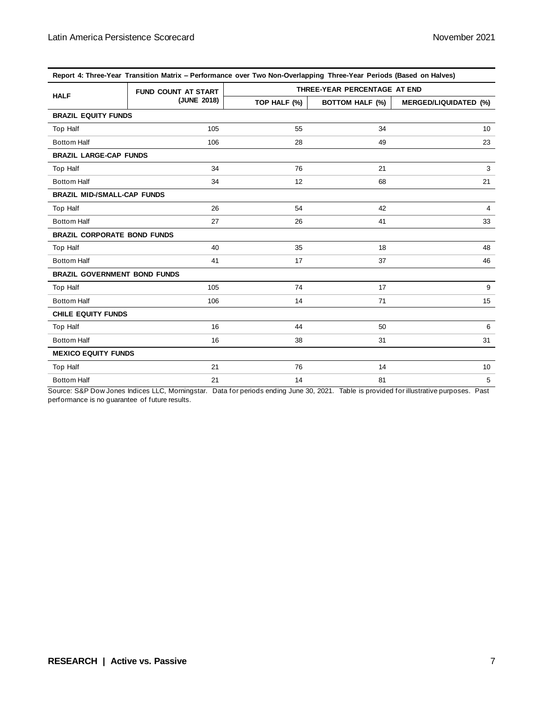| Report 4: Three-Year Transition Matrix – Performance over Two Non-Overlapping Three-Year Periods (Based on Halves) |                            |                              |                        |                              |  |
|--------------------------------------------------------------------------------------------------------------------|----------------------------|------------------------------|------------------------|------------------------------|--|
| <b>HALF</b>                                                                                                        | <b>FUND COUNT AT START</b> | THREE-YEAR PERCENTAGE AT END |                        |                              |  |
|                                                                                                                    | (JUNE 2018)                | TOP HALF (%)                 | <b>BOTTOM HALF (%)</b> | <b>MERGED/LIQUIDATED (%)</b> |  |
| <b>BRAZIL EQUITY FUNDS</b>                                                                                         |                            |                              |                        |                              |  |
| Top Half                                                                                                           | 105                        | 55                           | 34                     | 10 <sup>10</sup>             |  |
| <b>Bottom Half</b>                                                                                                 | 106                        | 28                           | 49                     | 23                           |  |
| <b>BRAZIL LARGE-CAP FUNDS</b>                                                                                      |                            |                              |                        |                              |  |
| Top Half                                                                                                           | 34                         | 76                           | 21                     | 3                            |  |
| <b>Bottom Half</b>                                                                                                 | 34                         | 12                           | 68                     | 21                           |  |
| <b>BRAZIL MID-/SMALL-CAP FUNDS</b>                                                                                 |                            |                              |                        |                              |  |
| Top Half                                                                                                           | 26                         | 54                           | 42                     | $\overline{4}$               |  |
| <b>Bottom Half</b>                                                                                                 | 27                         | 26                           | 41                     | 33                           |  |
| <b>BRAZIL CORPORATE BOND FUNDS</b>                                                                                 |                            |                              |                        |                              |  |
| Top Half                                                                                                           | 40                         | 35                           | 18                     | 48                           |  |
| <b>Bottom Half</b>                                                                                                 | 41                         | 17                           | 37                     | 46                           |  |
| <b>BRAZIL GOVERNMENT BOND FUNDS</b>                                                                                |                            |                              |                        |                              |  |
| Top Half                                                                                                           | 105                        | 74                           | 17                     | 9                            |  |
| <b>Bottom Half</b>                                                                                                 | 106                        | 14                           | 71                     | 15                           |  |
| <b>CHILE EQUITY FUNDS</b>                                                                                          |                            |                              |                        |                              |  |
| Top Half                                                                                                           | 16                         | 44                           | 50                     | 6                            |  |
| <b>Bottom Half</b>                                                                                                 | 16                         | 38                           | 31                     | 31                           |  |
| <b>MEXICO EQUITY FUNDS</b>                                                                                         |                            |                              |                        |                              |  |
| Top Half                                                                                                           | 21                         | 76                           | 14                     | 10 <sup>1</sup>              |  |
| <b>Bottom Half</b>                                                                                                 | 21                         | 14                           | 81                     | 5                            |  |

**Report 4: Three-Year Transition Matrix – Performance over Two Non-Overlapping Three-Year Periods (Based on Halves)**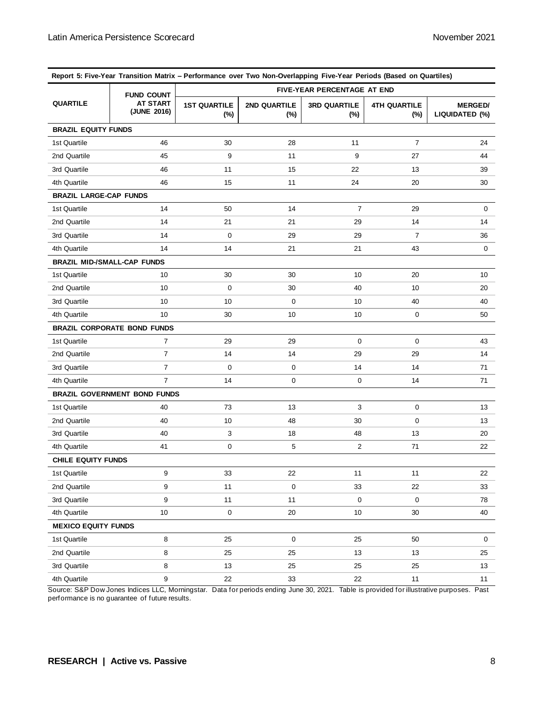| Report 5: Five-Year Transition Matrix - Performance over Two Non-Overlapping Five-Year Periods (Based on Quartiles) |                                     |                               |                        |                            |                               |                                  |
|---------------------------------------------------------------------------------------------------------------------|-------------------------------------|-------------------------------|------------------------|----------------------------|-------------------------------|----------------------------------|
| <b>QUARTILE</b>                                                                                                     | <b>FUND COUNT</b>                   | FIVE-YEAR PERCENTAGE AT END   |                        |                            |                               |                                  |
|                                                                                                                     | <b>AT START</b><br>(JUNE 2016)      | <b>1ST QUARTILE</b><br>$(\%)$ | 2ND QUARTILE<br>$(\%)$ | <b>3RD QUARTILE</b><br>(%) | <b>4TH QUARTILE</b><br>$(\%)$ | <b>MERGED/</b><br>LIQUIDATED (%) |
| <b>BRAZIL EQUITY FUNDS</b>                                                                                          |                                     |                               |                        |                            |                               |                                  |
| 1st Quartile                                                                                                        | 46                                  | 30                            | 28                     | 11                         | $\overline{7}$                | 24                               |
| 2nd Quartile                                                                                                        | 45                                  | 9                             | 11                     | 9                          | 27                            | 44                               |
| 3rd Quartile                                                                                                        | 46                                  | 11                            | 15                     | 22                         | 13                            | 39                               |
| 4th Quartile                                                                                                        | 46                                  | 15                            | 11                     | 24                         | 20                            | 30                               |
| <b>BRAZIL LARGE-CAP FUNDS</b>                                                                                       |                                     |                               |                        |                            |                               |                                  |
| 1st Quartile                                                                                                        | 14                                  | 50                            | 14                     | $\overline{7}$             | 29                            | 0                                |
| 2nd Quartile                                                                                                        | 14                                  | 21                            | 21                     | 29                         | 14                            | 14                               |
| 3rd Quartile                                                                                                        | 14                                  | 0                             | 29                     | 29                         | $\overline{7}$                | 36                               |
| 4th Quartile                                                                                                        | 14                                  | 14                            | 21                     | 21                         | 43                            | 0                                |
| <b>BRAZIL MID-/SMALL-CAP FUNDS</b>                                                                                  |                                     |                               |                        |                            |                               |                                  |
| 1st Quartile                                                                                                        | 10                                  | 30                            | 30                     | 10                         | 20                            | 10                               |
| 2nd Quartile                                                                                                        | 10                                  | 0                             | 30                     | 40                         | 10                            | 20                               |
| 3rd Quartile                                                                                                        | 10                                  | 10                            | 0                      | 10                         | 40                            | 40                               |
| 4th Quartile                                                                                                        | 10                                  | 30                            | 10                     | 10                         | 0                             | 50                               |
|                                                                                                                     | <b>BRAZIL CORPORATE BOND FUNDS</b>  |                               |                        |                            |                               |                                  |
| 1st Quartile                                                                                                        | $\overline{7}$                      | 29                            | 29                     | 0                          | 0                             | 43                               |
| 2nd Quartile                                                                                                        | $\overline{7}$                      | 14                            | 14                     | 29                         | 29                            | 14                               |
| 3rd Quartile                                                                                                        | $\overline{7}$                      | 0                             | 0                      | 14                         | 14                            | 71                               |
| 4th Quartile                                                                                                        | 7                                   | 14                            | 0                      | 0                          | 14                            | 71                               |
|                                                                                                                     | <b>BRAZIL GOVERNMENT BOND FUNDS</b> |                               |                        |                            |                               |                                  |
| 1st Quartile                                                                                                        | 40                                  | 73                            | 13                     | 3                          | 0                             | 13                               |
| 2nd Quartile                                                                                                        | 40                                  | 10                            | 48                     | 30                         | 0                             | 13                               |
| 3rd Quartile                                                                                                        | 40                                  | 3                             | 18                     | 48                         | 13                            | 20                               |
| 4th Quartile                                                                                                        | 41                                  | 0                             | 5                      | 2                          | 71                            | 22                               |
| <b>CHILE EQUITY FUNDS</b>                                                                                           |                                     |                               |                        |                            |                               |                                  |
| 1st Quartile                                                                                                        | 9                                   | 33                            | 22                     | 11                         | 11                            | 22                               |
| 2nd Quartile                                                                                                        | 9                                   | 11                            | 0                      | 33                         | 22                            | 33                               |
| 3rd Quartile                                                                                                        | 9                                   | 11                            | 11                     | 0                          | $\mathbf 0$                   | 78                               |
| 4th Quartile                                                                                                        | 10                                  | 0                             | 20                     | 10                         | 30                            | 40                               |
| <b>MEXICO EQUITY FUNDS</b>                                                                                          |                                     |                               |                        |                            |                               |                                  |
| 1st Quartile                                                                                                        | 8                                   | 25                            | 0                      | 25                         | 50                            | 0                                |
| 2nd Quartile                                                                                                        | 8                                   | 25                            | 25                     | 13                         | 13                            | 25                               |
| 3rd Quartile                                                                                                        | 8                                   | 13                            | 25                     | 25                         | 25                            | 13                               |
| 4th Quartile                                                                                                        | 9                                   | 22                            | 33                     | 22                         | 11                            | 11                               |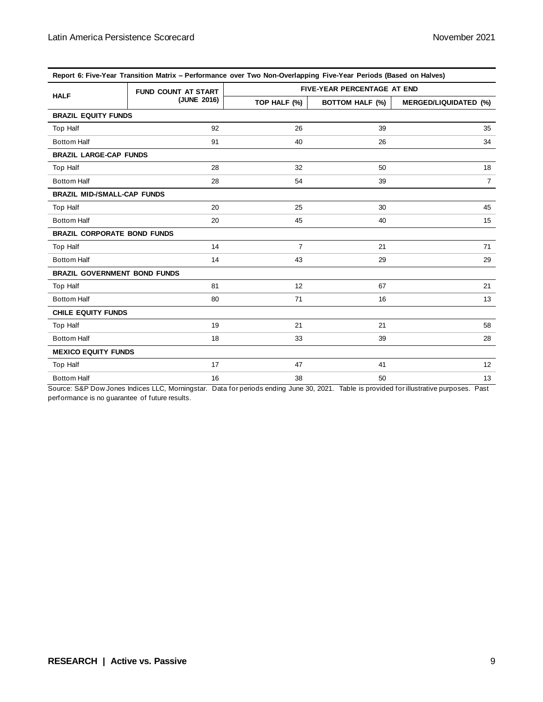| Report 6: Five-Year Transition Matrix – Performance over Two Non-Overlapping Five-Year Periods (Based on Halves) |                            |                             |                        |                              |  |  |  |
|------------------------------------------------------------------------------------------------------------------|----------------------------|-----------------------------|------------------------|------------------------------|--|--|--|
| <b>HALF</b>                                                                                                      | <b>FUND COUNT AT START</b> | FIVE-YEAR PERCENTAGE AT END |                        |                              |  |  |  |
|                                                                                                                  | (JUNE 2016)                | TOP HALF (%)                | <b>BOTTOM HALF (%)</b> | <b>MERGED/LIQUIDATED (%)</b> |  |  |  |
| <b>BRAZIL EQUITY FUNDS</b>                                                                                       |                            |                             |                        |                              |  |  |  |
| <b>Top Half</b>                                                                                                  | 92                         | 26                          | 39                     | 35                           |  |  |  |
| <b>Bottom Half</b>                                                                                               | 91                         | 40                          | 26                     | 34                           |  |  |  |
| <b>BRAZIL LARGE-CAP FUNDS</b>                                                                                    |                            |                             |                        |                              |  |  |  |
| <b>Top Half</b>                                                                                                  | 28                         | 32                          | 50                     | 18                           |  |  |  |
| <b>Bottom Half</b>                                                                                               | 28                         | 54                          | 39                     | $\overline{7}$               |  |  |  |
| <b>BRAZIL MID-/SMALL-CAP FUNDS</b>                                                                               |                            |                             |                        |                              |  |  |  |
| Top Half                                                                                                         | 20                         | 25                          | 30                     | 45                           |  |  |  |
| <b>Bottom Half</b>                                                                                               | 20                         | 45                          | 40                     | 15                           |  |  |  |
| <b>BRAZIL CORPORATE BOND FUNDS</b>                                                                               |                            |                             |                        |                              |  |  |  |
| Top Half                                                                                                         | 14                         | $\overline{7}$              | 21                     | 71                           |  |  |  |
| <b>Bottom Half</b>                                                                                               | 14                         | 43                          | 29                     | 29                           |  |  |  |
| <b>BRAZIL GOVERNMENT BOND FUNDS</b>                                                                              |                            |                             |                        |                              |  |  |  |
| <b>Top Half</b>                                                                                                  | 81                         | 12                          | 67                     | 21                           |  |  |  |
| <b>Bottom Half</b>                                                                                               | 80                         | 71                          | 16                     | 13                           |  |  |  |
| <b>CHILE EQUITY FUNDS</b>                                                                                        |                            |                             |                        |                              |  |  |  |
| Top Half                                                                                                         | 19                         | 21                          | 21                     | 58                           |  |  |  |
| <b>Bottom Half</b>                                                                                               | 18                         | 33                          | 39                     | 28                           |  |  |  |
| <b>MEXICO EQUITY FUNDS</b>                                                                                       |                            |                             |                        |                              |  |  |  |
| <b>Top Half</b>                                                                                                  | 17                         | 47                          | 41                     | 12                           |  |  |  |
| <b>Bottom Half</b>                                                                                               | 16                         | 38                          | 50                     | 13                           |  |  |  |

**Report 6: Five-Year Transition Matrix – Performance over Two Non-Overlapping Five-Year Periods (Based on Halves)**